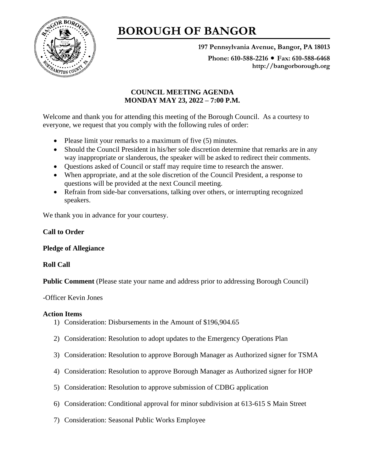

# **BOROUGH OF BANGOR**

**197 Pennsylvania Avenue, Bangor, PA 18013**

Phone: 610-588-2216 ● Fax: 610-588-6468 **http://bangorborough.org**

# **COUNCIL MEETING AGENDA MONDAY MAY 23, 2022 – 7:00 P.M.**

Welcome and thank you for attending this meeting of the Borough Council. As a courtesy to everyone, we request that you comply with the following rules of order:

- Please limit your remarks to a maximum of five (5) minutes.
- Should the Council President in his/her sole discretion determine that remarks are in any way inappropriate or slanderous, the speaker will be asked to redirect their comments.
- Questions asked of Council or staff may require time to research the answer.
- When appropriate, and at the sole discretion of the Council President, a response to questions will be provided at the next Council meeting.
- Refrain from side-bar conversations, talking over others, or interrupting recognized speakers.

We thank you in advance for your courtesy.

## **Call to Order**

## **Pledge of Allegiance**

## **Roll Call**

**Public Comment** (Please state your name and address prior to addressing Borough Council)

## -Officer Kevin Jones

## **Action Items**

- 1) Consideration: Disbursements in the Amount of \$196,904.65
- 2) Consideration: Resolution to adopt updates to the Emergency Operations Plan
- 3) Consideration: Resolution to approve Borough Manager as Authorized signer for TSMA
- 4) Consideration: Resolution to approve Borough Manager as Authorized signer for HOP
- 5) Consideration: Resolution to approve submission of CDBG application
- 6) Consideration: Conditional approval for minor subdivision at 613-615 S Main Street
- 7) Consideration: Seasonal Public Works Employee